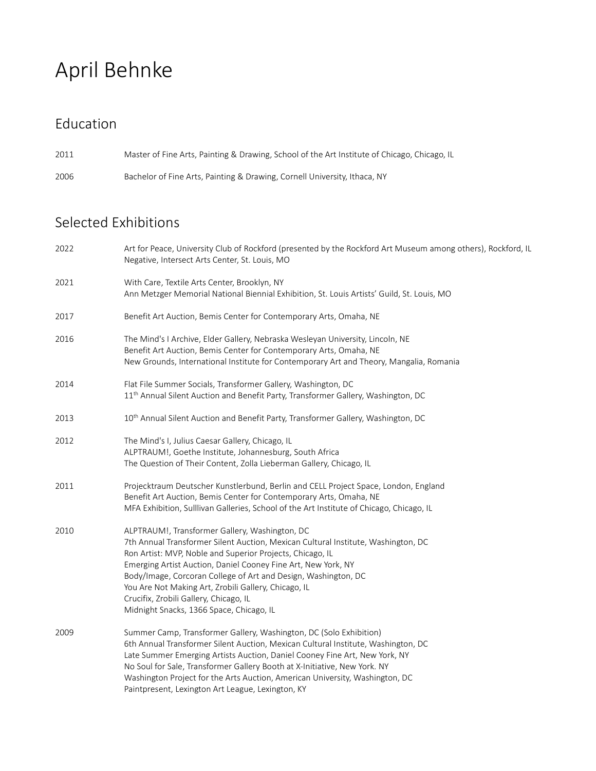# April Behnke

#### Education

2011 Master of Fine Arts, Painting & Drawing, School of the Art Institute of Chicago, Chicago, IL

2006 Bachelor of Fine Arts, Painting & Drawing, Cornell University, Ithaca, NY

#### Selected Exhibitions

| 2022 | Art for Peace, University Club of Rockford (presented by the Rockford Art Museum among others), Rockford, IL<br>Negative, Intersect Arts Center, St. Louis, MO                                                                                                                                                                                                                                                                                                                    |
|------|-----------------------------------------------------------------------------------------------------------------------------------------------------------------------------------------------------------------------------------------------------------------------------------------------------------------------------------------------------------------------------------------------------------------------------------------------------------------------------------|
| 2021 | With Care, Textile Arts Center, Brooklyn, NY<br>Ann Metzger Memorial National Biennial Exhibition, St. Louis Artists' Guild, St. Louis, MO                                                                                                                                                                                                                                                                                                                                        |
| 2017 | Benefit Art Auction, Bemis Center for Contemporary Arts, Omaha, NE                                                                                                                                                                                                                                                                                                                                                                                                                |
| 2016 | The Mind's I Archive, Elder Gallery, Nebraska Wesleyan University, Lincoln, NE<br>Benefit Art Auction, Bemis Center for Contemporary Arts, Omaha, NE<br>New Grounds, International Institute for Contemporary Art and Theory, Mangalia, Romania                                                                                                                                                                                                                                   |
| 2014 | Flat File Summer Socials, Transformer Gallery, Washington, DC<br>11 <sup>th</sup> Annual Silent Auction and Benefit Party, Transformer Gallery, Washington, DC                                                                                                                                                                                                                                                                                                                    |
| 2013 | 10 <sup>th</sup> Annual Silent Auction and Benefit Party, Transformer Gallery, Washington, DC                                                                                                                                                                                                                                                                                                                                                                                     |
| 2012 | The Mind's I, Julius Caesar Gallery, Chicago, IL<br>ALPTRAUM!, Goethe Institute, Johannesburg, South Africa<br>The Question of Their Content, Zolla Lieberman Gallery, Chicago, IL                                                                                                                                                                                                                                                                                                |
| 2011 | Projecktraum Deutscher Kunstlerbund, Berlin and CELL Project Space, London, England<br>Benefit Art Auction, Bemis Center for Contemporary Arts, Omaha, NE<br>MFA Exhibition, Sulllivan Galleries, School of the Art Institute of Chicago, Chicago, IL                                                                                                                                                                                                                             |
| 2010 | ALPTRAUM!, Transformer Gallery, Washington, DC<br>7th Annual Transformer Silent Auction, Mexican Cultural Institute, Washington, DC<br>Ron Artist: MVP, Noble and Superior Projects, Chicago, IL<br>Emerging Artist Auction, Daniel Cooney Fine Art, New York, NY<br>Body/Image, Corcoran College of Art and Design, Washington, DC<br>You Are Not Making Art, Zrobili Gallery, Chicago, IL<br>Crucifix, Zrobili Gallery, Chicago, IL<br>Midnight Snacks, 1366 Space, Chicago, IL |
| 2009 | Summer Camp, Transformer Gallery, Washington, DC (Solo Exhibition)<br>6th Annual Transformer Silent Auction, Mexican Cultural Institute, Washington, DC<br>Late Summer Emerging Artists Auction, Daniel Cooney Fine Art, New York, NY<br>No Soul for Sale, Transformer Gallery Booth at X-Initiative, New York. NY<br>Washington Project for the Arts Auction, American University, Washington, DC<br>Paintpresent, Lexington Art League, Lexington, KY                           |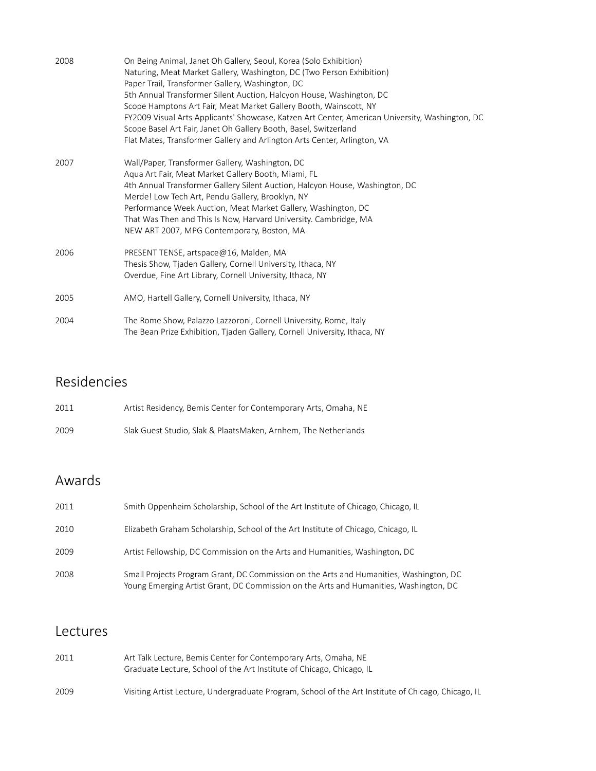| 2008 | On Being Animal, Janet Oh Gallery, Seoul, Korea (Solo Exhibition)<br>Naturing, Meat Market Gallery, Washington, DC (Two Person Exhibition)<br>Paper Trail, Transformer Gallery, Washington, DC<br>5th Annual Transformer Silent Auction, Halcyon House, Washington, DC<br>Scope Hamptons Art Fair, Meat Market Gallery Booth, Wainscott, NY<br>FY2009 Visual Arts Applicants' Showcase, Katzen Art Center, American University, Washington, DC<br>Scope Basel Art Fair, Janet Oh Gallery Booth, Basel, Switzerland<br>Flat Mates, Transformer Gallery and Arlington Arts Center, Arlington, VA |
|------|------------------------------------------------------------------------------------------------------------------------------------------------------------------------------------------------------------------------------------------------------------------------------------------------------------------------------------------------------------------------------------------------------------------------------------------------------------------------------------------------------------------------------------------------------------------------------------------------|
| 2007 | Wall/Paper, Transformer Gallery, Washington, DC<br>Aqua Art Fair, Meat Market Gallery Booth, Miami, FL<br>4th Annual Transformer Gallery Silent Auction, Halcyon House, Washington, DC<br>Merde! Low Tech Art, Pendu Gallery, Brooklyn, NY<br>Performance Week Auction, Meat Market Gallery, Washington, DC<br>That Was Then and This Is Now, Harvard University. Cambridge, MA<br>NEW ART 2007, MPG Contemporary, Boston, MA                                                                                                                                                                  |
| 2006 | PRESENT TENSE, artspace@16, Malden, MA<br>Thesis Show, Tjaden Gallery, Cornell University, Ithaca, NY<br>Overdue, Fine Art Library, Cornell University, Ithaca, NY                                                                                                                                                                                                                                                                                                                                                                                                                             |
| 2005 | AMO, Hartell Gallery, Cornell University, Ithaca, NY                                                                                                                                                                                                                                                                                                                                                                                                                                                                                                                                           |
| 2004 | The Rome Show, Palazzo Lazzoroni, Cornell University, Rome, Italy<br>The Bean Prize Exhibition, Tjaden Gallery, Cornell University, Ithaca, NY                                                                                                                                                                                                                                                                                                                                                                                                                                                 |

### Residencies

| 2011 | Artist Residency, Bemis Center for Contemporary Arts, Omaha, NE |
|------|-----------------------------------------------------------------|
| 2009 | Slak Guest Studio. Slak & PlaatsMaken. Arnhem. The Netherlands  |

# Awards

| 2011 | Smith Oppenheim Scholarship, School of the Art Institute of Chicago, Chicago, IL                                                                                                |
|------|---------------------------------------------------------------------------------------------------------------------------------------------------------------------------------|
| 2010 | Elizabeth Graham Scholarship, School of the Art Institute of Chicago, Chicago, IL                                                                                               |
| 2009 | Artist Fellowship, DC Commission on the Arts and Humanities, Washington, DC                                                                                                     |
| 2008 | Small Projects Program Grant, DC Commission on the Arts and Humanities, Washington, DC<br>Young Emerging Artist Grant, DC Commission on the Arts and Humanities, Washington, DC |

#### Lectures

| 2011 | Art Talk Lecture, Bemis Center for Contemporary Arts, Omaha, NE<br>Graduate Lecture. School of the Art Institute of Chicago. Chicago. IL |
|------|------------------------------------------------------------------------------------------------------------------------------------------|
| 2009 | Visiting Artist Lecture, Undergraduate Program, School of the Art Institute of Chicago, Chicago, IL                                      |